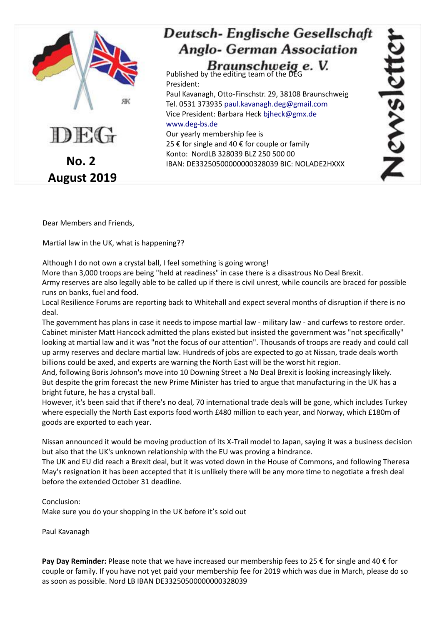

Dear Members and Friends,

Martial law in the UK, what is happening??

Although I do not own a crystal ball, I feel something is going wrong!

More than 3,000 troops are being "held at readiness" in case there is a disastrous No Deal Brexit.

Army reserves are also legally able to be called up if there is civil unrest, while councils are braced for possible runs on banks, fuel and food.

Local Resilience Forums are reporting back to Whitehall and expect several months of disruption if there is no deal.

The government has plans in case it needs to impose martial law - military law - and curfews to restore order. Cabinet minister Matt Hancock admitted the plans existed but insisted the government was "not specifically" looking at martial law and it was "not the focus of our attention". Thousands of troops are ready and could call up army reserves and declare martial law. Hundreds of jobs are expected to go at Nissan, trade deals worth billions could be axed, and experts are warning the North East will be the worst hit region.

And, following Boris Johnson's move into 10 Downing Street a No Deal Brexit is looking increasingly likely. But despite the grim forecast the new Prime Minister has tried to argue that manufacturing in the UK has a bright future, he has a crystal ball.

However, it's been said that if there's no deal, 70 international trade deals will be gone, which includes Turkey where especially the North East exports food worth £480 million to each year, and Norway, which £180m of goods are exported to each year.

Nissan announced it would be moving production of its X-Trail model to Japan, saying it was a business decision but also that the UK's unknown relationship with the EU was proving a hindrance.

The UK and EU did reach a Brexit deal, but it was voted down in the House of Commons, and following Theresa May's resignation it has been accepted that it is unlikely there will be any more time to negotiate a fresh deal before the extended October 31 deadline.

Conclusion: Make sure you do your shopping in the UK before it's sold out

Paul Kavanagh

**Pay Day Reminder:** Please note that we have increased our membership fees to 25 € for single and 40 € for couple or family. If you have not yet paid your membership fee for 2019 which was due in March, please do so as soon as possible. Nord LB IBAN DE33250500000000328039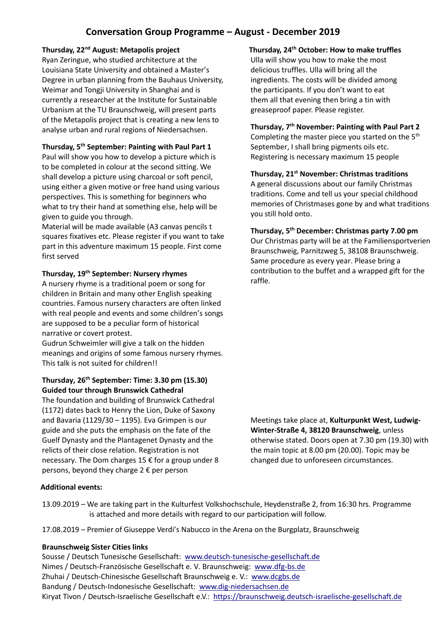# **Conversation Group Programme – August - December 2019**

#### **Thursday, 22nd August: Metapolis project**

Ryan Zeringue, who studied architecture at the Louisiana State University and obtained a Master's Degree in urban planning from the Bauhaus University, Weimar and Tongji University in Shanghai and is currently a researcher at the Institute for Sustainable Urbanism at the TU Braunschweig, will present parts of the Metapolis project that is creating a new lens to analyse urban and rural regions of Niedersachsen.

#### **Thursday, 5 th September: Painting with Paul Part 1**

Paul will show you how to develop a picture which is to be completed in colour at the second sitting. We shall develop a picture using charcoal or soft pencil, using either a given motive or free hand using various perspectives. This is something for beginners who what to try their hand at something else, help will be given to guide you through.

Material will be made available (A3 canvas pencils t squares fixatives etc. Please register if you want to take part in this adventure maximum 15 people. First come first served

#### **Thursday, 19th September: Nursery rhymes**

A nursery rhyme is a traditional poem or song for children in Britain and many other English speaking countries. Famous nursery characters are often linked with real people and events and some children's songs are supposed to be a peculiar form of historical narrative or covert protest.

Gudrun Schweimler will give a talk on the hidden meanings and origins of some famous nursery rhymes. This talk is not suited for children!!

## **Thursday, 26th September: Time: 3.30 pm (15.30) Guided tour through Brunswick Cathedral**

The foundation and building of Brunswick Cathedral (1172) dates back to Henry the Lion, Duke of Saxony and Bavaria (1129/30 – 1195). Eva Grimpen is our guide and she puts the emphasis on the fate of the Guelf Dynasty and the Plantagenet Dynasty and the relicts of their close relation. Registration is not necessary. The Dom charges 15 € for a group under 8 persons, beyond they charge 2 € per person

## **Additional events:**

## **Thursday, 24th October: How to make truffles**

Ulla will show you how to make the most delicious truffles. Ulla will bring all the ingredients. The costs will be divided among the participants. If you don't want to eat them all that evening then bring a tin with greaseproof paper. Please register.

#### **Thursday, 7th November: Painting with Paul Part 2**

Completing the master piece you started on the  $5<sup>th</sup>$ September, I shall bring pigments oils etc. Registering is necessary maximum 15 people

#### **Thursday, 21st November: Christmas traditions**

A general discussions about our family Christmas traditions. Come and tell us your special childhood memories of Christmases gone by and what traditions you still hold onto.

#### **Thursday, 5 th December: Christmas party 7.00 pm**

Our Christmas party will be at the Familiensportverien Braunschweig, Parnitzweg 5, 38108 Braunschweig. Same procedure as every year. Please bring a contribution to the buffet and a wrapped gift for the raffle.

Meetings take place at, **Kulturpunkt West, Ludwig-Winter-Straße 4, 38120 Braunschweig**, unless otherwise stated. Doors open at 7.30 pm (19.30) with the main topic at 8.00 pm (20.00). Topic may be changed due to unforeseen circumstances.

- 13.09.2019 We are taking part in the Kulturfest Volkshochschule, Heydenstraße 2, from 16:30 hrs. Programme is attached and more details with regard to our participation will follow.
- 17.08.2019 Premier of Giuseppe Verdi's Nabucco in the Arena on the Burgplatz, Braunschweig

#### **Braunschweig Sister Cities links**

Sousse / Deutsch Tunesische Gesellschaft: [www.deutsch-tunesische-gesellschaft.de](http://www.deutsch-tunesische-gesellschaft.de/) Nimes / Deutsch-Französische Gesellschaft e. V. Braunschweig: [www.dfg-bs.de](http://www.dfg-bs.de/) Zhuhai / Deutsch-Chinesische Gesellschaft Braunschweig e. V.: [www.dcgbs.de](http://www.dcgbs.de/) Bandung / Deutsch-Indonesische Gesellschaft: [www.dig-niedersachsen.de](http://www.dig-niedersachsen.de/) Kiryat Tivon / Deutsch-Israelische Gesellschaft e.V.: [https://braunschweig.deutsch-israelische-gesellschaft.de](https://braunschweig.deutsch-israelische-gesellschaft.de/)